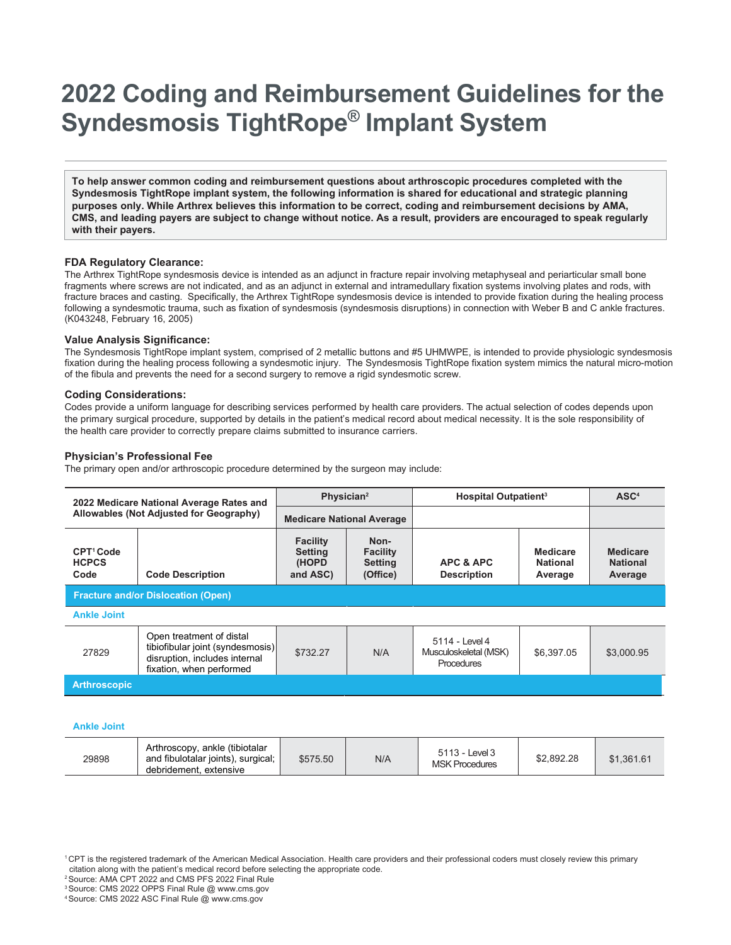# **2022 Coding and Reimbursement Guidelines for the Syndesmosis TightRope® Implant System**

**To help answer common coding and reimbursement questions about arthroscopic procedures completed with the Syndesmosis TightRope implant system, the following information is shared for educational and strategic planning purposes only. While Arthrex believes this information to be correct, coding and reimbursement decisions by AMA, CMS, and leading payers are subject to change without notice. As a result, providers are encouraged to speak regularly with their payers.**

### **FDA Regulatory Clearance:**

The Arthrex TightRope syndesmosis device is intended as an adjunct in fracture repair involving metaphyseal and periarticular small bone fragments where screws are not indicated, and as an adjunct in external and intramedullary fixation systems involving plates and rods, with fracture braces and casting. Specifically, the Arthrex TightRope syndesmosis device is intended to provide fixation during the healing process following a syndesmotic trauma, such as fixation of syndesmosis (syndesmosis disruptions) in connection with Weber B and C ankle fractures. (K043248, February 16, 2005)

### **Value Analysis Significance:**

The Syndesmosis TightRope implant system, comprised of 2 metallic buttons and #5 UHMWPE, is intended to provide physiologic syndesmosis fixation during the healing process following a syndesmotic injury. The Syndesmosis TightRope fixation system mimics the natural micro-motion of the fibula and prevents the need for a second surgery to remove a rigid syndesmotic screw.

#### **Coding Considerations:**

Codes provide a uniform language for describing services performed by health care providers. The actual selection of codes depends upon the primary surgical procedure, supported by details in the patient's medical record about medical necessity. It is the sole responsibility of the health care provider to correctly prepare claims submitted to insurance carriers.

## **Physician's Professional Fee**

The primary open and/or arthroscopic procedure determined by the surgeon may include:

| 2022 Medicare National Average Rates and<br>Allowables (Not Adjusted for Geography) |                                                                                                                           | Physician <sup>2</sup>                                 |                                                       | <b>Hospital Outpatient<sup>3</sup></b>                |                                        | ASC <sup>4</sup>                              |  |
|-------------------------------------------------------------------------------------|---------------------------------------------------------------------------------------------------------------------------|--------------------------------------------------------|-------------------------------------------------------|-------------------------------------------------------|----------------------------------------|-----------------------------------------------|--|
|                                                                                     |                                                                                                                           | <b>Medicare National Average</b>                       |                                                       |                                                       |                                        |                                               |  |
| CPT <sup>1</sup> Code<br><b>HCPCS</b><br>Code                                       | <b>Code Description</b>                                                                                                   | <b>Facility</b><br><b>Setting</b><br>(HOPD<br>and ASC) | Non-<br><b>Facility</b><br><b>Setting</b><br>(Office) | APC & APC<br><b>Description</b>                       | Medicare<br><b>National</b><br>Average | <b>Medicare</b><br><b>National</b><br>Average |  |
| <b>Fracture and/or Dislocation (Open)</b>                                           |                                                                                                                           |                                                        |                                                       |                                                       |                                        |                                               |  |
| <b>Ankle Joint</b>                                                                  |                                                                                                                           |                                                        |                                                       |                                                       |                                        |                                               |  |
| 27829                                                                               | Open treatment of distal<br>tibiofibular joint (syndesmosis)<br>disruption, includes internal<br>fixation, when performed | \$732.27                                               | N/A                                                   | 5114 - Level 4<br>Musculoskeletal (MSK)<br>Procedures | \$6.397.05                             | \$3,000.95                                    |  |
| <b>Arthroscopic</b>                                                                 |                                                                                                                           |                                                        |                                                       |                                                       |                                        |                                               |  |
|                                                                                     |                                                                                                                           |                                                        |                                                       |                                                       |                                        |                                               |  |

#### **Ankle Joint**

| 29898 | Arthroscopy, ankle (tibiotalar<br>and fibulotalar joints), surgical;<br>debridement, extensive | \$575.50 | N/A | 5113 - Level 3<br><b>MSK Procedures</b> | \$2.892.28 | \$1.361.61 |
|-------|------------------------------------------------------------------------------------------------|----------|-----|-----------------------------------------|------------|------------|
|-------|------------------------------------------------------------------------------------------------|----------|-----|-----------------------------------------|------------|------------|

2 Source: AMA CPT 2022 and CMS PFS 2022 Final Rule

<sup>1</sup> CPT is the registered trademark of the American Medical Association. Health care providers and their professional coders must closely review this primary citation along with the patient's medical record before selecting the appropriate code.

<sup>3</sup> Source: CMS 2022 OPPS Final Rule @ [www.cms.gov](http://www.cms.gov/)

<sup>4</sup> Source: CMS 2022 ASC Final Rule @ [www.cms.gov](http://www.cms.gov/)